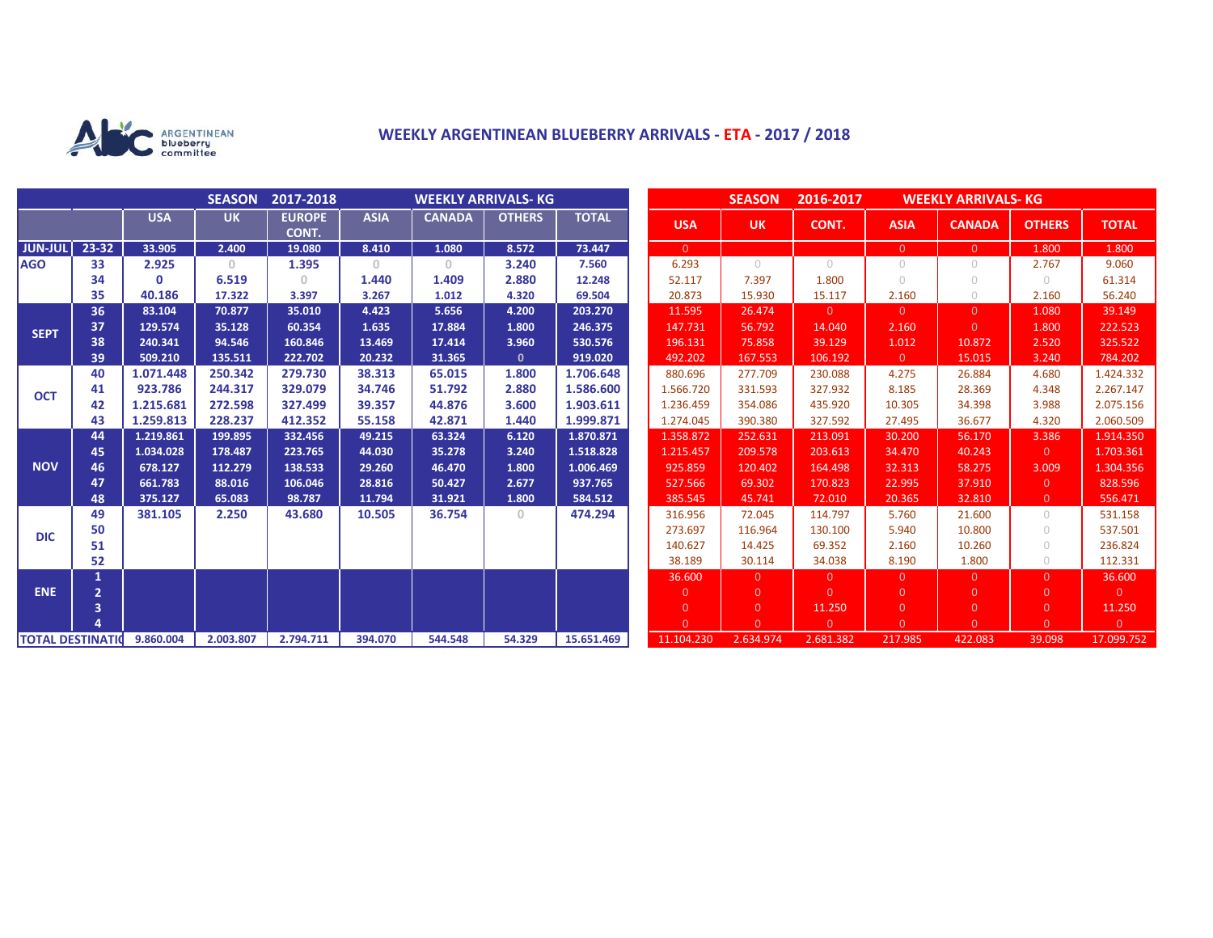

## **WEEKLY ARGENTINEAN BLUEBERRY ARRIVALS - ETA - 2017 / 2018**

|                          |                |            | <b>SEASON</b> | 2017-2018              | <b>WEEKLY ARRIVALS- KG</b> |               |               |              |                | <b>SEASON</b>  | 2016-2017<br><b>WEEKLY ARRIVALS- KG</b> |                |                |                |                |
|--------------------------|----------------|------------|---------------|------------------------|----------------------------|---------------|---------------|--------------|----------------|----------------|-----------------------------------------|----------------|----------------|----------------|----------------|
|                          |                | <b>USA</b> | <b>UK</b>     | <b>EUROPE</b><br>CONT. | <b>ASIA</b>                | <b>CANADA</b> | <b>OTHERS</b> | <b>TOTAL</b> | <b>USA</b>     | <b>UK</b>      | CONT.                                   | <b>ASIA</b>    | <b>CANADA</b>  | <b>OTHERS</b>  | <b>TOTAL</b>   |
| <b>JUN-JUL</b>           | 23-32          | 33.905     | 2.400         | 19.080                 | 8.410                      | 1.080         | 8.572         | 73.447       | $\overline{0}$ |                |                                         | $\overline{0}$ | $\overline{0}$ | 1.800          | 1.800          |
| <b>AGO</b>               | 33             | 2.925      | $\mathbf{0}$  | 1.395                  | $\overline{0}$             | $\circ$       | 3.240         | 7.560        | 6.293          | $\circ$        | $\bigcirc$                              | $\circ$        | 0              | 2.767          | 9.060          |
|                          | 34             | $\Omega$   | 6.519         | $\Omega$               | 1.440                      | 1.409         | 2.880         | 12.248       | 52.117         | 7.397          | 1.800                                   | $\circ$        | $\cup$         | $\bigcirc$     | 61.314         |
|                          | 35             | 40.186     | 17.322        | 3.397                  | 3.267                      | 1.012         | 4.320         | 69.504       | 20.873         | 15.930         | 15.117                                  | 2.160          | $\bigcirc$     | 2.160          | 56.240         |
| <b>SEPT</b>              | 36             | 83.104     | 70.877        | 35.010                 | 4.423                      | 5.656         | 4.200         | 203.270      | 11.595         | 26.474         | $\overline{0}$                          | $\overline{0}$ | $\Omega$       | 1.080          | 39.149         |
|                          | 37             | 129.574    | 35.128        | 60.354                 | 1.635                      | 17.884        | 1.800         | 246.375      | 147.731        | 56.792         | 14.040                                  | 2.160          | $\overline{0}$ | 1.800          | 222.523        |
|                          | 38             | 240.341    | 94.546        | 160.846                | 13.469                     | 17.414        | 3.960         | 530.576      | 196.131        | 75.858         | 39.129                                  | 1.012          | 10.872         | 2.520          | 325.522        |
|                          | 39             | 509.210    | 135.511       | 222.702                | 20.232                     | 31.365        | $\mathbf{0}$  | 919.020      | 492.202        | 167.553        | 106.192                                 | $\overline{0}$ | 15.015         | 3.240          | 784.202        |
| <b>OCT</b>               | 40             | 1.071.448  | 250.342       | 279.730                | 38.313                     | 65.015        | 1.800         | 1.706.648    | 880.696        | 277.709        | 230.088                                 | 4.275          | 26.884         | 4.680          | 1.424.332      |
|                          | 41             | 923.786    | 244.317       | 329.079                | 34.746                     | 51.792        | 2.880         | 1.586.600    | 1.566.720      | 331.593        | 327.932                                 | 8.185          | 28.369         | 4.348          | 2.267.147      |
|                          | 42             | 1.215.681  | 272.598       | 327.499                | 39.357                     | 44.876        | 3.600         | 1.903.611    | 1.236.459      | 354.086        | 435.920                                 | 10.305         | 34.398         | 3.988          | 2.075.156      |
|                          | 43             | 1.259.813  | 228.237       | 412.352                | 55.158                     | 42.871        | 1.440         | 1.999.871    | 1.274.045      | 390.380        | 327.592                                 | 27.495         | 36.677         | 4.320          | 2.060.509      |
| <b>NOV</b>               | 44             | 1.219.861  | 199.895       | 332.456                | 49.215                     | 63.324        | 6.120         | 1.870.871    | 1.358.872      | 252.631        | 213.091                                 | 30.200         | 56.170         | 3.386          | 1.914.350      |
|                          | 45             | 1.034.028  | 178.487       | 223.765                | 44.030                     | 35.278        | 3.240         | 1.518.828    | 1.215.457      | 209.578        | 203.613                                 | 34,470         | 40.243         | $\overline{0}$ | 1.703.361      |
|                          | 46             | 678.127    | 112.279       | 138.533                | 29.260                     | 46.470        | 1.800         | 1.006.469    | 925.859        | 120.402        | 164.498                                 | 32.313         | 58.275         | 3.009          | 1.304.356      |
|                          | 47             | 661.783    | 88.016        | 106.046                | 28.816                     | 50.427        | 2.677         | 937.765      | 527.566        | 69.302         | 170.823                                 | 22.995         | 37.910         | $\overline{0}$ | 828.596        |
|                          | 48             | 375.127    | 65.083        | 98.787                 | 11.794                     | 31.921        | 1.800         | 584.512      | 385.545        | 45.741         | 72.010                                  | 20.365         | 32.810         | $\overline{0}$ | 556.471        |
| <b>DIC</b>               | 49             | 381.105    | 2.250         | 43.680                 | 10.505                     | 36.754        | $\Omega$      | 474.294      | 316.956        | 72.045         | 114.797                                 | 5.760          | 21.600         | $\circ$        | 531.158        |
|                          | 50             |            |               |                        |                            |               |               |              | 273.697        | 116.964        | 130.100                                 | 5.940          | 10.800         | $\circ$        | 537.501        |
|                          | 51             |            |               |                        |                            |               |               |              | 140.627        | 14.425         | 69.352                                  | 2.160          | 10.260         | $\bigcirc$     | 236.824        |
|                          | 52             |            |               |                        |                            |               |               |              | 38.189         | 30.114         | 34.038                                  | 8.190          | 1.800          | $\circ$        | 112.331        |
| <b>ENE</b>               |                |            |               |                        |                            |               |               |              | 36.600         | $\overline{0}$ | $\overline{0}$                          | $\overline{0}$ | $\Omega$       | $\overline{0}$ | 36.600         |
|                          | $\overline{2}$ |            |               |                        |                            |               |               |              | $\overline{0}$ | $\overline{0}$ | $\Omega$                                | $\overline{0}$ | $\overline{0}$ | $\overline{0}$ | $\overline{0}$ |
|                          | 3              |            |               |                        |                            |               |               |              | $\overline{0}$ | $\overline{0}$ | 11.250                                  | $\overline{0}$ | $\overline{0}$ | $\overline{0}$ | 11.250         |
|                          |                |            |               |                        |                            |               |               |              | $\Omega$       | $\Omega$       | $\overline{0}$                          | $\Omega$       | $\Omega$       | $\overline{0}$ | $\overline{0}$ |
| <b>TOTAL DESTINATION</b> |                | 9.860.004  | 2.003.807     | 2.794.711              | 394.070                    | 544.548       | 54.329        | 15.651.469   | 11.104.230     | 2.634.974      | 2.681.382                               | 217.985        | 422.083        | 39.098         | 17.099.752     |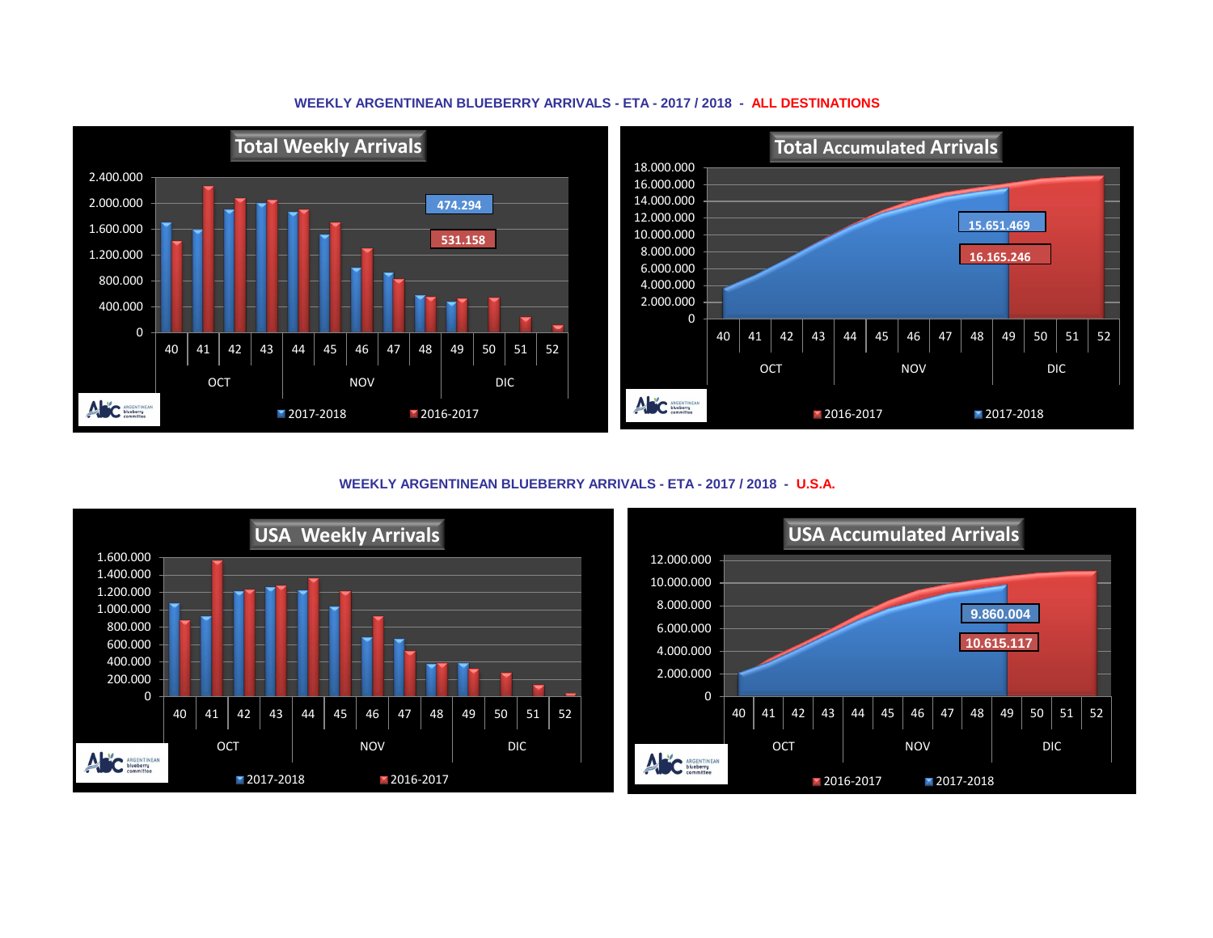## **WEEKLY ARGENTINEAN BLUEBERRY ARRIVALS - ETA - 2017 / 2018 - ALL DESTINATIONS**



**WEEKLY ARGENTINEAN BLUEBERRY ARRIVALS - ETA - 2017 / 2018 - U.S.A.**



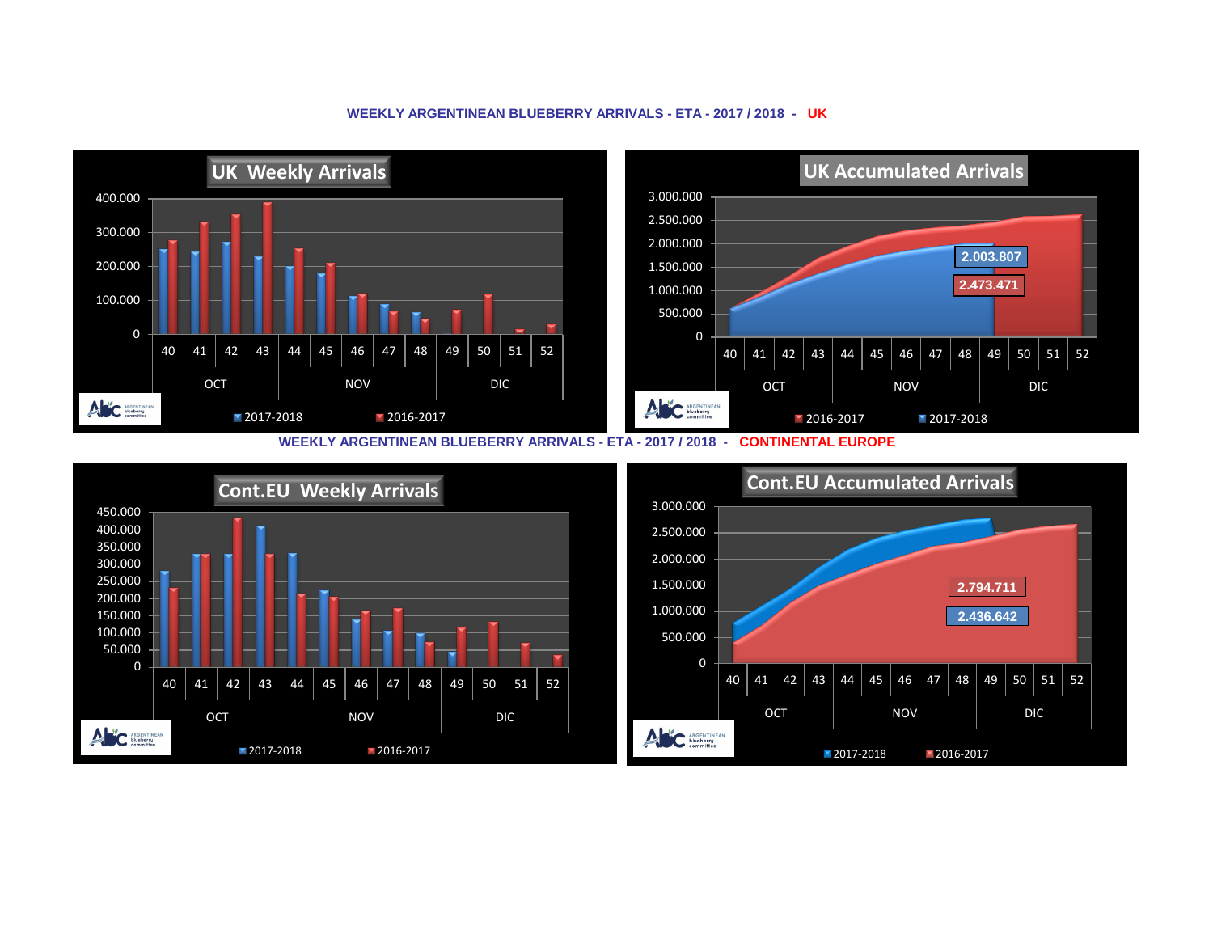## **WEEKLY ARGENTINEAN BLUEBERRY ARRIVALS - ETA - 2017 / 2018 - UK**



**WEEKLY ARGENTINEAN BLUEBERRY ARRIVALS - ETA - 2017 / 2018 - CONTINENTAL EUROPE**